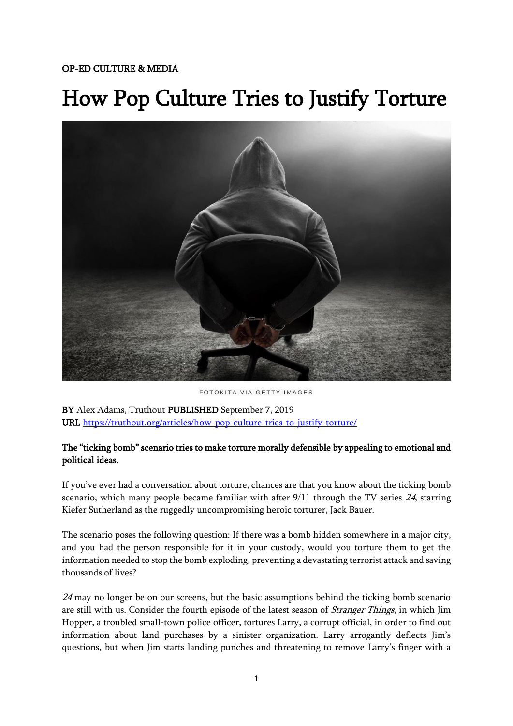## How Pop Culture Tries to Justify Torture



FOTOKITA VIA GETTY IMAGES

BY Alex Adams, Truthout PUBLISHED September 7, 2019 URL <https://truthout.org/articles/how-pop-culture-tries-to-justify-torture/>

## The "ticking bomb" scenario tries to make torture morally defensible by appealing to emotional and political ideas.

If you've ever had a conversation about torture, chances are that you know about the ticking bomb scenario, which many people became familiar with after 9/11 through the TV series 24, starring Kiefer Sutherland as the ruggedly uncompromising heroic torturer, Jack Bauer.

The scenario poses the following question: If there was a bomb hidden somewhere in a major city, and you had the person responsible for it in your custody, would you torture them to get the information needed to stop the bomb exploding, preventing a devastating terrorist attack and saving thousands of lives?

24 may no longer be on our screens, but the basic assumptions behind the ticking bomb scenario are still with us. Consider the fourth episode of the latest season of *Stranger Things*, in which Jim Hopper, a troubled small-town police officer, tortures Larry, a corrupt official, in order to find out information about land purchases by a sinister organization. Larry arrogantly deflects Jim's questions, but when Jim starts landing punches and threatening to remove Larry's finger with a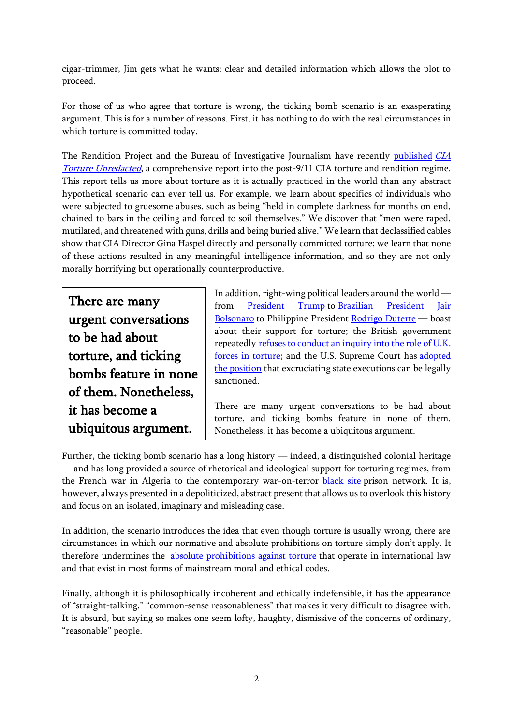cigar-trimmer, Jim gets what he wants: clear and detailed information which allows the plot to proceed.

For those of us who agree that torture is wrong, the ticking bomb scenario is an exasperating argument. This is for a number of reasons. First, it has nothing to do with the real circumstances in which torture is committed today.

The Rendition Project and the Bureau of Investigative Journalism have recently [published](https://www.thebureauinvestigates.com/blog/2019-07-10/cia-torture-unredacted-revealing-hidden-us-senate-torture-report) [CIA](https://www.therenditionproject.org.uk/unredacted/the-report.html)  [Torture Unredacted](https://www.therenditionproject.org.uk/unredacted/the-report.html), a comprehensive report into the post-9/11 CIA torture and rendition regime. This report tells us more about torture as it is actually practiced in the world than any abstract hypothetical scenario can ever tell us. For example, we learn about specifics of individuals who were subjected to gruesome abuses, such as being "held in complete darkness for months on end, chained to bars in the ceiling and forced to soil themselves." We discover that "men were raped, mutilated, and threatened with guns, drills and being buried alive." We learn that declassified cables show that CIA Director Gina Haspel directly and personally committed torture; we learn that none of these actions resulted in any meaningful intelligence information, and so they are not only morally horrifying but operationally counterproductive.

There are many urgent conversations to be had about torture, and ticking bombs feature in none of them. Nonetheless, it has become a ubiquitous argument.

In addition, right-wing political leaders around the world — from [President Trump](https://eu.usatoday.com/story/opinion/2016/02/15/donald-trump-torture-enhanced-interrogation-techniques-editorials-debates/80418458/) to Brazilian President Jair [Bolsonaro](https://uk.reuters.com/article/uk-brazil-politics-torture/brazils-bolsonaro-extols-convicted-torturer-as-a-national-hero-idUKKCN1UY2U1) to Philippine President [Rodrigo Duterte](https://theconversation.com/duterte-philippines-brutal-president-must-be-condemned-but-the-west-is-guilty-of-double-standards-108385) — boast about their support for torture; the British government repeatedly refuses to conduct an inquiry into the role of U.K. [forces in torture;](https://www.amnesty.org.uk/press-releases/uk-government-u-turn-torture-inquiry-branded-disgraceful) and the U.S. Supreme Court has [adopted](https://slate.com/news-and-politics/2019/04/supreme-court-neil-gorsuch-eighth-amendment-death-penalty-torture.html)  [the position](https://slate.com/news-and-politics/2019/04/supreme-court-neil-gorsuch-eighth-amendment-death-penalty-torture.html) that excruciating state executions can be legally sanctioned.

There are many urgent conversations to be had about torture, and ticking bombs feature in none of them. Nonetheless, it has become a ubiquitous argument.

Further, the ticking bomb scenario has a long history — indeed, a distinguished colonial heritage — and has long provided a source of rhetorical and ideological support for torturing regimes, from the French war in Algeria to the contemporary war-on-terror **[black site](https://truthout.org/articles/trading-black-sites-for-nato-membership-eastern-europe-s-role-in-the-us-torture-program/)** prison network. It is, however, always presented in a depoliticized, abstract present that allows us to overlook this history and focus on an isolated, imaginary and misleading case.

In addition, the scenario introduces the idea that even though torture is usually wrong, there are circumstances in which our normative and absolute prohibitions on torture simply don't apply. It therefore undermines the [absolute prohibitions against torture](https://www.ohchr.org/en/professionalinterest/pages/cat.aspx) that operate in international law and that exist in most forms of mainstream moral and ethical codes.

Finally, although it is philosophically incoherent and ethically indefensible, it has the appearance of "straight-talking," "common-sense reasonableness" that makes it very difficult to disagree with. It is absurd, but saying so makes one seem lofty, haughty, dismissive of the concerns of ordinary, "reasonable" people.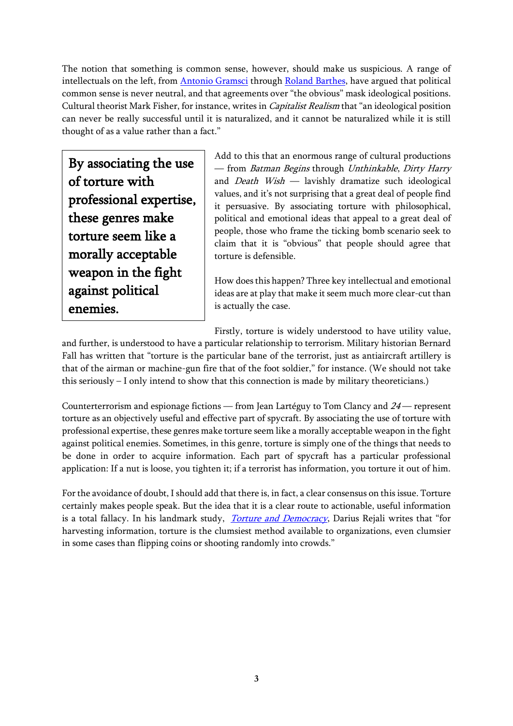The notion that something is common sense, however, should make us suspicious. A range of intellectuals on the left, from [Antonio Gramsci](https://notevenpast.org/gramsci-on-hegemony/) through [Roland Barthes,](https://ceasefiremagazine.co.uk/in-theory-barthes-3/) have argued that political common sense is never neutral, and that agreements over "the obvious" mask ideological positions. Cultural theorist Mark Fisher, for instance, writes in Capitalist Realism that "an ideological position can never be really successful until it is naturalized, and it cannot be naturalized while it is still thought of as a value rather than a fact."

By associating the use of torture with professional expertise, these genres make torture seem like a morally acceptable weapon in the fight against political enemies.

Add to this that an enormous range of cultural productions — from Batman Begins through Unthinkable, Dirty Harry and *Death Wish*  $-$  lavishly dramatize such ideological values, and it's not surprising that a great deal of people find it persuasive. By associating torture with philosophical, political and emotional ideas that appeal to a great deal of people, those who frame the ticking bomb scenario seek to claim that it is "obvious" that people should agree that torture is defensible.

How does this happen? Three key intellectual and emotional ideas are at play that make it seem much more clear-cut than is actually the case.

Firstly, torture is widely understood to have utility value,

and further, is understood to have a particular relationship to terrorism. Military historian Bernard Fall has written that "torture is the particular bane of the terrorist, just as antiaircraft artillery is that of the airman or machine-gun fire that of the foot soldier," for instance. (We should not take this seriously – I only intend to show that this connection is made by military theoreticians.)

Counterterrorism and espionage fictions — from Jean Lartéguy to Tom Clancy and <sup>24</sup> — represent torture as an objectively useful and effective part of spycraft. By associating the use of torture with professional expertise, these genres make torture seem like a morally acceptable weapon in the fight against political enemies. Sometimes, in this genre, torture is simply one of the things that needs to be done in order to acquire information. Each part of spycraft has a particular professional application: If a nut is loose, you tighten it; if a terrorist has information, you torture it out of him.

For the avoidance of doubt, I should add that there is, in fact, a clear consensus on this issue. Torture certainly makes people speak. But the idea that it is a clear route to actionable, useful information is a total fallacy. In his landmark study, *[Torture and Democracy](https://press.princeton.edu/titles/8490.html)*, Darius Rejali writes that "for harvesting information, torture is the clumsiest method available to organizations, even clumsier in some cases than flipping coins or shooting randomly into crowds."